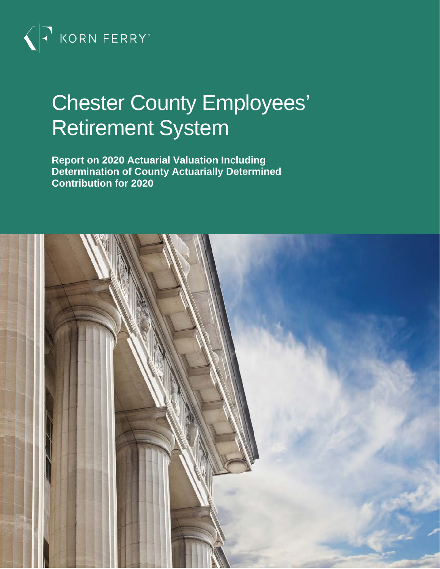

# Chester County Employees' Retirement System

**Report on 2020 Actuarial Valuation Including Determination of County Actuarially Determined Contribution for 2020**

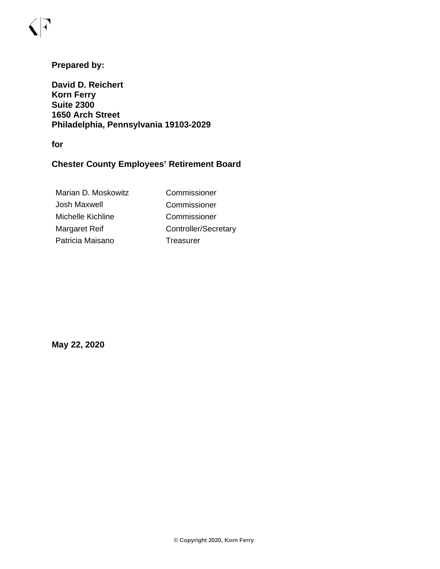## **Prepared by:**

**David D. Reichert Korn Ferry Suite 2300 1650 Arch Street Philadelphia, Pennsylvania 19103-2029**

**for**

## **Chester County Employees' Retirement Board**

| Marian D. Moskowitz | Commissioner         |
|---------------------|----------------------|
| Josh Maxwell        | Commissioner         |
| Michelle Kichline   | Commissioner         |
| Margaret Reif       | Controller/Secretary |
| Patricia Maisano    | Treasurer            |
|                     |                      |

**May 22, 2020**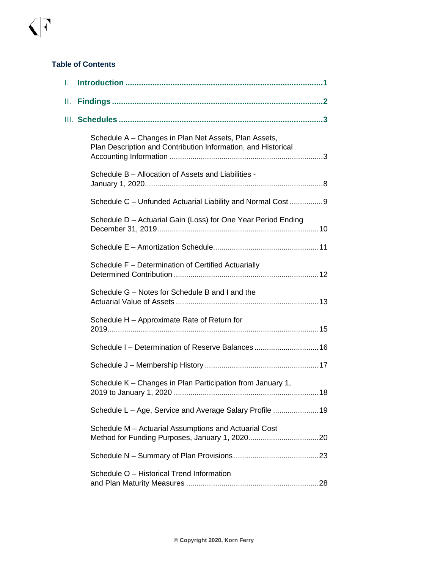#### **Table of Contents**

| I. |                                                                                                                        |
|----|------------------------------------------------------------------------------------------------------------------------|
| Ш. |                                                                                                                        |
|    |                                                                                                                        |
|    | Schedule A - Changes in Plan Net Assets, Plan Assets,<br>Plan Description and Contribution Information, and Historical |
|    | Schedule B - Allocation of Assets and Liabilities -                                                                    |
|    | Schedule C - Unfunded Actuarial Liability and Normal Cost 9                                                            |
|    | Schedule D - Actuarial Gain (Loss) for One Year Period Ending                                                          |
|    |                                                                                                                        |
|    | Schedule F - Determination of Certified Actuarially                                                                    |
|    | Schedule G - Notes for Schedule B and I and the                                                                        |
|    | Schedule H - Approximate Rate of Return for                                                                            |
|    | Schedule I - Determination of Reserve Balances 16                                                                      |
|    |                                                                                                                        |
|    | Schedule K – Changes in Plan Participation from January 1,                                                             |
|    | Schedule L – Age, Service and Average Salary Profile 19                                                                |
|    | Schedule M - Actuarial Assumptions and Actuarial Cost                                                                  |
|    |                                                                                                                        |
|    | Schedule O - Historical Trend Information                                                                              |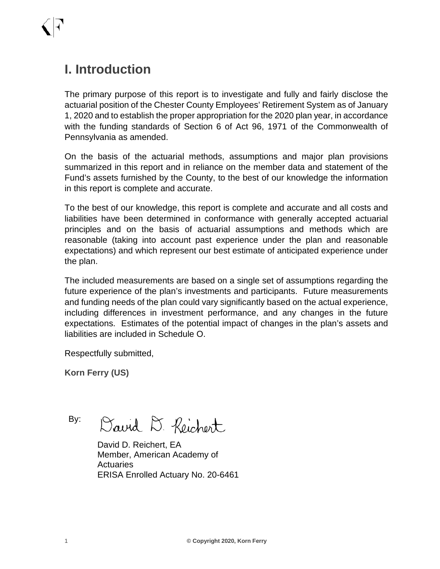## **I. Introduction**

The primary purpose of this report is to investigate and fully and fairly disclose the actuarial position of the Chester County Employees' Retirement System as of January 1, 2020 and to establish the proper appropriation for the 2020 plan year, in accordance with the funding standards of Section 6 of Act 96, 1971 of the Commonwealth of Pennsylvania as amended.

On the basis of the actuarial methods, assumptions and major plan provisions summarized in this report and in reliance on the member data and statement of the Fund's assets furnished by the County, to the best of our knowledge the information in this report is complete and accurate.

To the best of our knowledge, this report is complete and accurate and all costs and liabilities have been determined in conformance with generally accepted actuarial principles and on the basis of actuarial assumptions and methods which are reasonable (taking into account past experience under the plan and reasonable expectations) and which represent our best estimate of anticipated experience under the plan.

The included measurements are based on a single set of assumptions regarding the future experience of the plan's investments and participants. Future measurements and funding needs of the plan could vary significantly based on the actual experience, including differences in investment performance, and any changes in the future expectations. Estimates of the potential impact of changes in the plan's assets and liabilities are included in Schedule O.

Respectfully submitted,

**Korn Ferry (US)**

By: David D. Reichert

David D. Reichert, EA Member, American Academy of Actuaries ERISA Enrolled Actuary No. 20-6461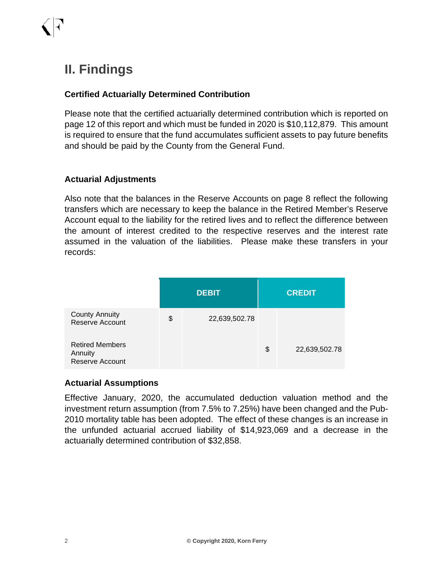## **II. Findings**

## **Certified Actuarially Determined Contribution**

Please note that the certified actuarially determined contribution which is reported on page 12 of this report and which must be funded in 2020 is \$10,112,879. This amount is required to ensure that the fund accumulates sufficient assets to pay future benefits and should be paid by the County from the General Fund.

## **Actuarial Adjustments**

Also note that the balances in the Reserve Accounts on page 8 reflect the following transfers which are necessary to keep the balance in the Retired Member's Reserve Account equal to the liability for the retired lives and to reflect the difference between the amount of interest credited to the respective reserves and the interest rate assumed in the valuation of the liabilities. Please make these transfers in your records:

|                                                             | <b>DEBIT</b>        | <b>CREDIT</b> |               |  |
|-------------------------------------------------------------|---------------------|---------------|---------------|--|
| <b>County Annuity</b><br>Reserve Account                    | \$<br>22,639,502.78 |               |               |  |
| <b>Retired Members</b><br>Annuity<br><b>Reserve Account</b> |                     | \$            | 22,639,502.78 |  |

### **Actuarial Assumptions**

Effective January, 2020, the accumulated deduction valuation method and the investment return assumption (from 7.5% to 7.25%) have been changed and the Pub-2010 mortality table has been adopted. The effect of these changes is an increase in the unfunded actuarial accrued liability of \$14,923,069 and a decrease in the actuarially determined contribution of \$32,858.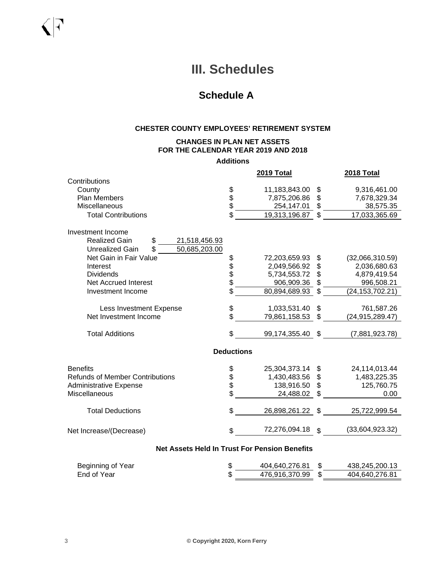## **III. Schedules**

## **Schedule A**

#### **CHESTER COUNTY EMPLOYEES' RETIREMENT SYSTEM**

#### **CHANGES IN PLAN NET ASSETS FOR THE CALENDAR YEAR 2019 AND 2018**

**Additions**

|                                                      |                   | 2019 Total    |                | 2018 Total        |
|------------------------------------------------------|-------------------|---------------|----------------|-------------------|
| Contributions                                        |                   |               |                |                   |
| County                                               |                   | 11,183,843.00 | \$             | 9,316,461.00      |
| <b>Plan Members</b>                                  | \$<br>\$          | 7,875,206.86  | \$             | 7,678,329.34      |
| Miscellaneous                                        |                   | 254,147.01    | \$             | 38,575.35         |
| <b>Total Contributions</b>                           | \$                | 19,313,196.87 | \$             | 17,033,365.69     |
| Investment Income                                    |                   |               |                |                   |
| <b>Realized Gain</b><br>\$<br>21,518,456.93          |                   |               |                |                   |
| \$<br>50,685,203.00<br><b>Unrealized Gain</b>        |                   |               |                |                   |
| Net Gain in Fair Value                               | \$                | 72,203,659.93 | \$             | (32,066,310.59)   |
| Interest                                             |                   | 2,049,566.92  | \$             | 2,036,680.63      |
| <b>Dividends</b>                                     |                   | 5,734,553.72  | \$             | 4,879,419.54      |
| <b>Net Accrued Interest</b>                          | \$\$              | 906,909.36    | \$             | 996,508.21        |
| Investment Income                                    | \$                | 80,894,689.93 | \$             | (24, 153, 702.21) |
|                                                      |                   |               |                |                   |
| Less Investment Expense                              | \$                | 1,033,531.40  | \$             | 761,587.26        |
| Net Investment Income                                | \$                | 79,861,158.53 | \$             | (24, 915, 289.47) |
| <b>Total Additions</b>                               | \$                | 99,174,355.40 | \$             | (7,881,923.78)    |
|                                                      | <b>Deductions</b> |               |                |                   |
| <b>Benefits</b>                                      |                   | 25,304,373.14 | \$             | 24,114,013.44     |
| <b>Refunds of Member Contributions</b>               | \$\$\$\$          | 1,430,483.56  | \$             | 1,483,225.35      |
| <b>Administrative Expense</b>                        |                   | 138,916.50    | \$             | 125,760.75        |
| Miscellaneous                                        |                   | 24,488.02     |                | 0.00              |
|                                                      |                   |               |                |                   |
| <b>Total Deductions</b>                              | \$                | 26,898,261.22 | \$             | 25,722,999.54     |
| Net Increase/(Decrease)                              | \$                | 72,276,094.18 | $\mathfrak{L}$ | (33,604,923.32)   |
| <b>Net Assets Held In Trust For Pension Benefits</b> |                   |               |                |                   |

| Beginning of Year | 404,640,276.81 | 438.245.200.13 |
|-------------------|----------------|----------------|
| End of Year       | 476.916.370.99 | 404.640.276.81 |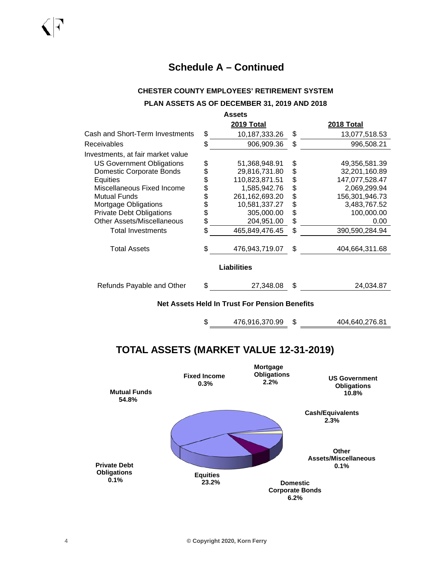#### **CHESTER COUNTY EMPLOYEES' RETIREMENT SYSTEM**

#### **PLAN ASSETS AS OF DECEMBER 31, 2019 AND 2018**

| <b>Assets</b>                     |    |                    |    |                   |  |
|-----------------------------------|----|--------------------|----|-------------------|--|
|                                   |    | <b>2019 Total</b>  |    | <b>2018 Total</b> |  |
| Cash and Short-Term Investments   | \$ | 10,187,333.26      | \$ | 13,077,518.53     |  |
| Receivables                       | \$ | 906,909.36         | \$ | 996,508.21        |  |
| Investments, at fair market value |    |                    |    |                   |  |
| <b>US Government Obligations</b>  | \$ | 51,368,948.91      | \$ | 49,356,581.39     |  |
| Domestic Corporate Bonds          | \$ | 29,816,731.80      | \$ | 32,201,160.89     |  |
| <b>Equities</b>                   | \$ | 110,823,871.51     | \$ | 147,077,528.47    |  |
| Miscellaneous Fixed Income        | \$ | 1,585,942.76       | \$ | 2,069,299.94      |  |
| <b>Mutual Funds</b>               |    | 261, 162, 693. 20  | \$ | 156,301,946.73    |  |
| Mortgage Obligations              | \$ | 10,581,337.27      | \$ | 3,483,767.52      |  |
| <b>Private Debt Obligations</b>   | \$ | 305,000.00         | \$ | 100,000.00        |  |
| Other Assets/Miscellaneous        | \$ | 204,951.00         | \$ | 0.00              |  |
| <b>Total Investments</b>          | \$ | 465,849,476.45     | \$ | 390,590,284.94    |  |
| <b>Total Assets</b>               | \$ | 476,943,719.07     | \$ | 404,664,311.68    |  |
|                                   |    | <b>Liabilities</b> |    |                   |  |
| Refunds Payable and Other         | S  | 27,348.08          | \$ | 24,034.87         |  |

**Net Assets Held In Trust For Pension Benefits**

\$ 476,916,370.99 \$ 404,640,276.81

## **TOTAL ASSETS (MARKET VALUE 12-31-2019)**

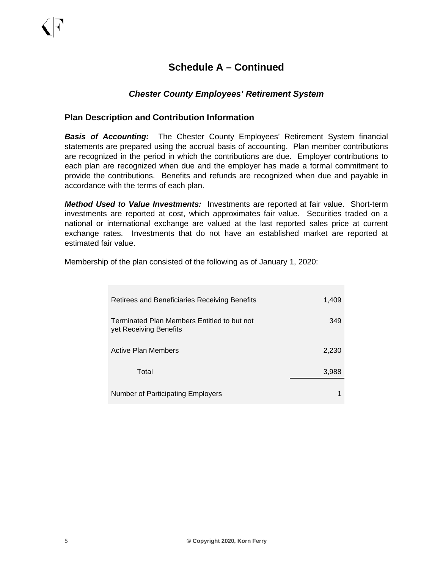### *Chester County Employees' Retirement System*

#### **Plan Description and Contribution Information**

*Basis of Accounting:* The Chester County Employees' Retirement System financial statements are prepared using the accrual basis of accounting. Plan member contributions are recognized in the period in which the contributions are due. Employer contributions to each plan are recognized when due and the employer has made a formal commitment to provide the contributions. Benefits and refunds are recognized when due and payable in accordance with the terms of each plan.

*Method Used to Value Investments:* Investments are reported at fair value. Short-term investments are reported at cost, which approximates fair value. Securities traded on a national or international exchange are valued at the last reported sales price at current exchange rates. Investments that do not have an established market are reported at estimated fair value.

Membership of the plan consisted of the following as of January 1, 2020:

| Retirees and Beneficiaries Receiving Benefits                         | 1,409 |
|-----------------------------------------------------------------------|-------|
| Terminated Plan Members Entitled to but not<br>yet Receiving Benefits | 349   |
| Active Plan Members                                                   | 2,230 |
| Total                                                                 | 3,988 |
| Number of Participating Employers                                     |       |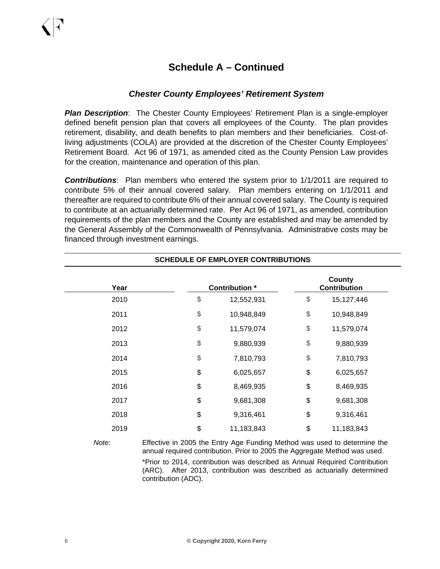### *Chester County Employees' Retirement System*

*Plan Description*: The Chester County Employees' Retirement Plan is a single-employer defined benefit pension plan that covers all employees of the County. The plan provides retirement, disability, and death benefits to plan members and their beneficiaries. Cost-ofliving adjustments (COLA) are provided at the discretion of the Chester County Employees' Retirement Board. Act 96 of 1971, as amended cited as the County Pension Law provides for the creation, maintenance and operation of this plan.

*Contributions*: Plan members who entered the system prior to 1/1/2011 are required to contribute 5% of their annual covered salary. Plan members entering on 1/1/2011 and thereafter are required to contribute 6% of their annual covered salary. The County is required to contribute at an actuarially determined rate. Per Act 96 of 1971, as amended, contribution requirements of the plan members and the County are established and may be amended by the General Assembly of the Commonwealth of Pennsylvania. Administrative costs may be financed through investment earnings.

| <b>SCHEDULE OF EMPLOYER CONTRIBUTIONS</b> |    |                       |    |                                      |  |  |
|-------------------------------------------|----|-----------------------|----|--------------------------------------|--|--|
| Year                                      |    | <b>Contribution</b> * |    | <b>County</b><br><b>Contribution</b> |  |  |
| 2010                                      | \$ | 12,552,931            | \$ | 15,127,446                           |  |  |
| 2011                                      | \$ | 10,948,849            | \$ | 10,948,849                           |  |  |
| 2012                                      | \$ | 11,579,074            | \$ | 11,579,074                           |  |  |
| 2013                                      | \$ | 9,880,939             | \$ | 9,880,939                            |  |  |
| 2014                                      | \$ | 7,810,793             | \$ | 7,810,793                            |  |  |
| 2015                                      | \$ | 6,025,657             | \$ | 6,025,657                            |  |  |
| 2016                                      | \$ | 8,469,935             | \$ | 8,469,935                            |  |  |
| 2017                                      | \$ | 9,681,308             | \$ | 9,681,308                            |  |  |
| 2018                                      | \$ | 9,316,461             | \$ | 9,316,461                            |  |  |
| 2019                                      | \$ | 11,183,843            | \$ | 11,183,843                           |  |  |

*Note:* Effective in 2005 the Entry Age Funding Method was used to determine the annual required contribution. Prior to 2005 the Aggregate Method was used. \*Prior to 2014, contribution was described as Annual Required Contribution (ARC). After 2013, contribution was described as actuarially determined contribution (ADC).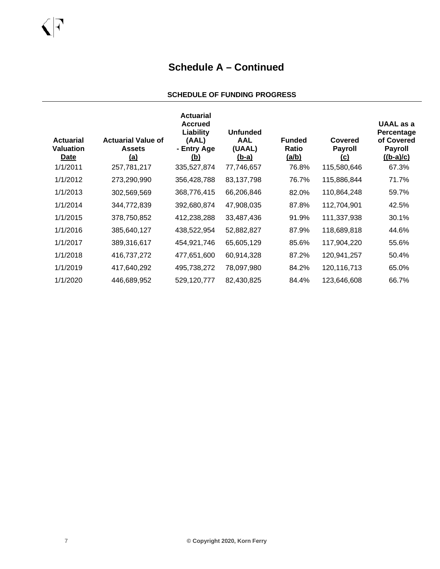#### **SCHEDULE OF FUNDING PROGRESS**

| <b>Actuarial</b><br><b>Valuation</b><br><u>Date</u> | <b>Actuarial Value of</b><br><b>Assets</b><br><u>(a)</u> | <b>Actuarial</b><br><b>Accrued</b><br>Liability<br>(AAL)<br>- Entry Age<br><u>(b)</u> | <b>Unfunded</b><br><b>AAL</b><br>(UAAL)<br><u>(b-a)</u> | <b>Funded</b><br><b>Ratio</b><br><u>(a/b)</u> | Covered<br><b>Payroll</b><br><u>(c)</u> | UAAL as a<br>Percentage<br>of Covered<br><b>Payroll</b><br>$((b-a)/c)$ |
|-----------------------------------------------------|----------------------------------------------------------|---------------------------------------------------------------------------------------|---------------------------------------------------------|-----------------------------------------------|-----------------------------------------|------------------------------------------------------------------------|
| 1/1/2011                                            | 257,781,217                                              | 335,527,874                                                                           | 77,746,657                                              | 76.8%                                         | 115,580,646                             | 67.3%                                                                  |
| 1/1/2012                                            | 273,290,990                                              | 356,428,788                                                                           | 83,137,798                                              | 76.7%                                         | 115,886,844                             | 71.7%                                                                  |
| 1/1/2013                                            | 302,569,569                                              | 368,776,415                                                                           | 66,206,846                                              | 82.0%                                         | 110,864,248                             | 59.7%                                                                  |
| 1/1/2014                                            | 344,772,839                                              | 392,680,874                                                                           | 47,908,035                                              | 87.8%                                         | 112,704,901                             | 42.5%                                                                  |
| 1/1/2015                                            | 378,750,852                                              | 412,238,288                                                                           | 33,487,436                                              | 91.9%                                         | 111,337,938                             | 30.1%                                                                  |
| 1/1/2016                                            | 385,640,127                                              | 438,522,954                                                                           | 52,882,827                                              | 87.9%                                         | 118,689,818                             | 44.6%                                                                  |
| 1/1/2017                                            | 389,316,617                                              | 454,921,746                                                                           | 65,605,129                                              | 85.6%                                         | 117,904,220                             | 55.6%                                                                  |
| 1/1/2018                                            | 416,737,272                                              | 477,651,600                                                                           | 60,914,328                                              | 87.2%                                         | 120,941,257                             | 50.4%                                                                  |
| 1/1/2019                                            | 417,640,292                                              | 495,738,272                                                                           | 78,097,980                                              | 84.2%                                         | 120,116,713                             | 65.0%                                                                  |
| 1/1/2020                                            | 446,689,952                                              | 529,120,777                                                                           | 82,430,825                                              | 84.4%                                         | 123,646,608                             | 66.7%                                                                  |

 $\bigcap$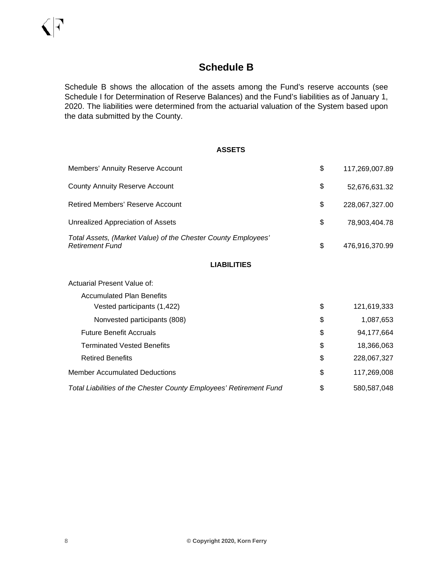## **Schedule B**

Schedule B shows the allocation of the assets among the Fund's reserve accounts (see Schedule I for Determination of Reserve Balances) and the Fund's liabilities as of January 1, 2020. The liabilities were determined from the actuarial valuation of the System based upon the data submitted by the County.

#### **ASSETS**

| Members' Annuity Reserve Account                                                        | \$<br>117,269,007.89 |
|-----------------------------------------------------------------------------------------|----------------------|
| <b>County Annuity Reserve Account</b>                                                   | \$<br>52,676,631.32  |
| <b>Retired Members' Reserve Account</b>                                                 | \$<br>228,067,327.00 |
| Unrealized Appreciation of Assets                                                       | \$<br>78,903,404.78  |
| Total Assets, (Market Value) of the Chester County Employees'<br><b>Retirement Fund</b> | \$<br>476,916,370.99 |
| <b>LIABILITIES</b>                                                                      |                      |
| Actuarial Present Value of:                                                             |                      |
| <b>Accumulated Plan Benefits</b>                                                        |                      |
| Vested participants (1,422)                                                             | \$<br>121,619,333    |
| Nonvested participants (808)                                                            | \$<br>1,087,653      |
| <b>Future Benefit Accruals</b>                                                          | \$<br>94,177,664     |
| <b>Terminated Vested Benefits</b>                                                       | \$<br>18,366,063     |
| <b>Retired Benefits</b>                                                                 | \$<br>228,067,327    |
| <b>Member Accumulated Deductions</b>                                                    | \$<br>117,269,008    |
| Total Liabilities of the Chester County Employees' Retirement Fund                      | \$<br>580,587,048    |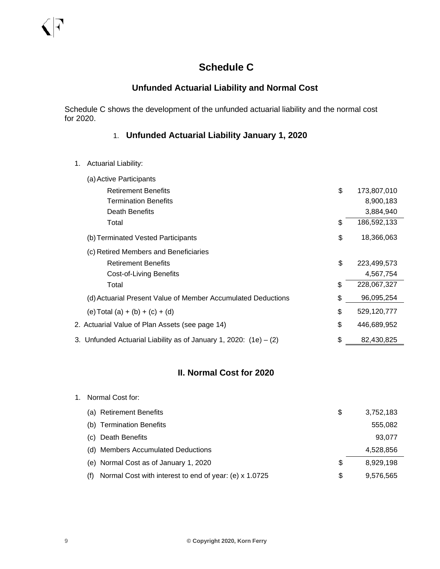## **Schedule C**

## **Unfunded Actuarial Liability and Normal Cost**

Schedule C shows the development of the unfunded actuarial liability and the normal cost for 2020.

## 1. **Unfunded Actuarial Liability January 1, 2020**

1. Actuarial Liability:

| (a) Active Participants                                             |                   |
|---------------------------------------------------------------------|-------------------|
| <b>Retirement Benefits</b>                                          | \$<br>173,807,010 |
| <b>Termination Benefits</b>                                         | 8,900,183         |
| Death Benefits                                                      | 3,884,940         |
| Total                                                               | \$<br>186,592,133 |
| (b) Terminated Vested Participants                                  | \$<br>18,366,063  |
| (c) Retired Members and Beneficiaries                               |                   |
| <b>Retirement Benefits</b>                                          | \$<br>223,499,573 |
| Cost-of-Living Benefits                                             | 4,567,754         |
| Total                                                               | \$<br>228,067,327 |
| (d) Actuarial Present Value of Member Accumulated Deductions        | \$<br>96,095,254  |
| (e) Total (a) + (b) + (c) + (d)                                     | \$<br>529,120,777 |
| 2. Actuarial Value of Plan Assets (see page 14)                     | \$<br>446,689,952 |
| 3. Unfunded Actuarial Liability as of January 1, 2020: $(1e) - (2)$ | \$<br>82,430,825  |

## **II. Normal Cost for 2020**

| Normal Cost for:                                              |    |           |
|---------------------------------------------------------------|----|-----------|
| (a) Retirement Benefits                                       | \$ | 3,752,183 |
| (b) Termination Benefits                                      |    | 555,082   |
| (c) Death Benefits                                            |    | 93,077    |
| (d) Members Accumulated Deductions                            |    | 4,528,856 |
| (e) Normal Cost as of January 1, 2020                         | \$ | 8.929.198 |
| Normal Cost with interest to end of year: (e) x 1.0725<br>(†) | S  | 9.576.565 |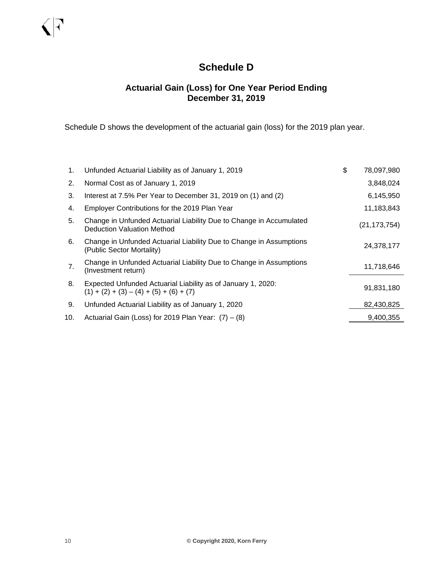## **Schedule D**

### **Actuarial Gain (Loss) for One Year Period Ending December 31, 2019**

Schedule D shows the development of the actuarial gain (loss) for the 2019 plan year.

| 1.  | Unfunded Actuarial Liability as of January 1, 2019                                                        | \$<br>78,097,980 |
|-----|-----------------------------------------------------------------------------------------------------------|------------------|
| 2.  | Normal Cost as of January 1, 2019                                                                         | 3,848,024        |
| 3.  | Interest at 7.5% Per Year to December 31, 2019 on (1) and (2)                                             | 6,145,950        |
| 4.  | Employer Contributions for the 2019 Plan Year                                                             | 11,183,843       |
| 5.  | Change in Unfunded Actuarial Liability Due to Change in Accumulated<br>Deduction Valuation Method         | (21, 173, 754)   |
| 6.  | Change in Unfunded Actuarial Liability Due to Change in Assumptions<br>(Public Sector Mortality)          | 24,378,177       |
| 7.  | Change in Unfunded Actuarial Liability Due to Change in Assumptions<br>(Investment return)                | 11,718,646       |
| 8.  | Expected Unfunded Actuarial Liability as of January 1, 2020:<br>$(1) + (2) + (3) - (4) + (5) + (6) + (7)$ | 91,831,180       |
| 9.  | Unfunded Actuarial Liability as of January 1, 2020                                                        | 82,430,825       |
| 10. | Actuarial Gain (Loss) for 2019 Plan Year: $(7) - (8)$                                                     | 9.400.355        |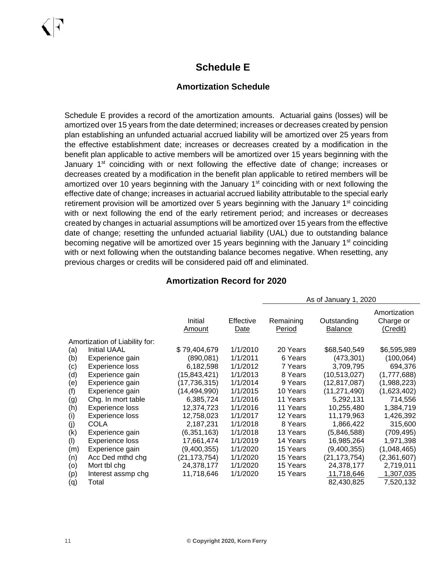## **Schedule E**

### **Amortization Schedule**

Schedule E provides a record of the amortization amounts. Actuarial gains (losses) will be amortized over 15 years from the date determined; increases or decreases created by pension plan establishing an unfunded actuarial accrued liability will be amortized over 25 years from the effective establishment date; increases or decreases created by a modification in the benefit plan applicable to active members will be amortized over 15 years beginning with the January 1<sup>st</sup> coinciding with or next following the effective date of change; increases or decreases created by a modification in the benefit plan applicable to retired members will be amortized over 10 years beginning with the January  $1<sup>st</sup>$  coinciding with or next following the effective date of change; increases in actuarial accrued liability attributable to the special early retirement provision will be amortized over 5 years beginning with the January  $1<sup>st</sup>$  coinciding with or next following the end of the early retirement period; and increases or decreases created by changes in actuarial assumptions will be amortized over 15 years from the effective date of change; resetting the unfunded actuarial liability (UAL) due to outstanding balance becoming negative will be amortized over 15 years beginning with the January 1<sup>st</sup> coinciding with or next following when the outstanding balance becomes negative. When resetting, any previous charges or credits will be considered paid off and eliminated.

#### As of January 1, 2020 Initial <u>Amount</u> Effective <u>Date</u> Remaining <u>Period</u> Outstanding <u>Balance</u>

Amortization

#### **Amortization Record for 2020**

|     |                                | Initial<br>Amount | Effective<br>Date | Remaining<br>Period | Outstanding<br><b>Balance</b> | Charge or<br>(Credit) |
|-----|--------------------------------|-------------------|-------------------|---------------------|-------------------------------|-----------------------|
|     | Amortization of Liability for: |                   |                   |                     |                               |                       |
| (a) | <b>Initial UAAL</b>            | \$79,404,679      | 1/1/2010          | 20 Years            | \$68,540,549                  | \$6,595,989           |
| (b) | Experience gain                | (890,081)         | 1/1/2011          | 6 Years             | (473, 301)                    | (100, 064)            |
| (c) | Experience loss                | 6,182,598         | 1/1/2012          | 7 Years             | 3,709,795                     | 694,376               |
| (d) | Experience gain                | (15, 843, 421)    | 1/1/2013          | 8 Years             | (10, 513, 027)                | (1,777,688)           |
| (e) | Experience gain                | (17, 736, 315)    | 1/1/2014          | 9 Years             | (12, 817, 087)                | (1,988,223)           |
| (f) | Experience gain                | (14, 494, 990)    | 1/1/2015          | 10 Years            | (11, 271, 490)                | (1,623,402)           |
| (g) | Chg. In mort table             | 6,385,724         | 1/1/2016          | 11 Years            | 5,292,131                     | 714,556               |
| (h) | Experience loss                | 12.374.723        | 1/1/2016          | 11 Years            | 10,255,480                    | 1,384,719             |
| (i) | Experience loss                | 12,758,023        | 1/1/2017          | 12 Years            | 11,179,963                    | 1,426,392             |
| (j) | COLA                           | 2,187,231         | 1/1/2018          | 8 Years             | 1,866,422                     | 315,600               |
| (k) | Experience gain                | (6,351,163)       | 1/1/2018          | 13 Years            | (5,846,588)                   | (709, 495)            |
| (1) | <b>Experience loss</b>         | 17,661,474        | 1/1/2019          | 14 Years            | 16,985,264                    | 1,971,398             |
| (m) | Experience gain                | (9,400,355)       | 1/1/2020          | 15 Years            | (9,400,355)                   | (1,048,465)           |
| (n) | Acc Ded mthd chg               | (21, 173, 754)    | 1/1/2020          | 15 Years            | (21, 173, 754)                | (2,361,607)           |
| (o) | Mort tbl chg                   | 24,378,177        | 1/1/2020          | 15 Years            | 24,378,177                    | 2,719,011             |
| (p) | Interest assmp chg             | 11,718,646        | 1/1/2020          | 15 Years            | 11,718,646                    | 1,307,035             |
| (q) | Total                          |                   |                   |                     | 82,430,825                    | 7,520,132             |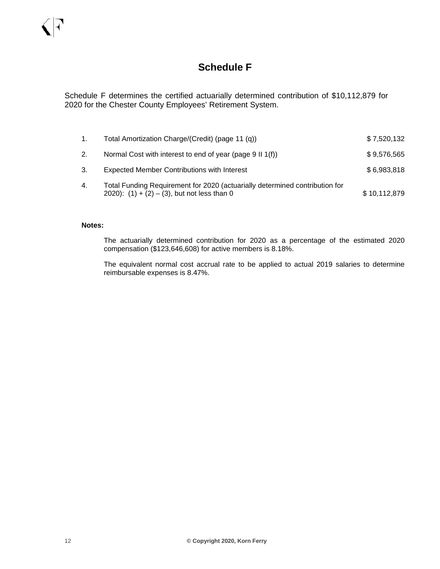## **Schedule F**

Schedule F determines the certified actuarially determined contribution of \$10,112,879 for 2020 for the Chester County Employees' Retirement System.

| $1_{\cdot}$ | Total Amortization Charge/(Credit) (page 11 (q))                                                                              | \$7,520,132  |
|-------------|-------------------------------------------------------------------------------------------------------------------------------|--------------|
| 2.          | Normal Cost with interest to end of year (page 9 II 1(f))                                                                     | \$9,576,565  |
| 3.          | <b>Expected Member Contributions with Interest</b>                                                                            | \$6,983,818  |
| 4.          | Total Funding Requirement for 2020 (actuarially determined contribution for<br>2020): $(1) + (2) - (3)$ , but not less than 0 | \$10,112,879 |

#### **Notes:**

The actuarially determined contribution for 2020 as a percentage of the estimated 2020 compensation (\$123,646,608) for active members is 8.18%.

The equivalent normal cost accrual rate to be applied to actual 2019 salaries to determine reimbursable expenses is 8.47%.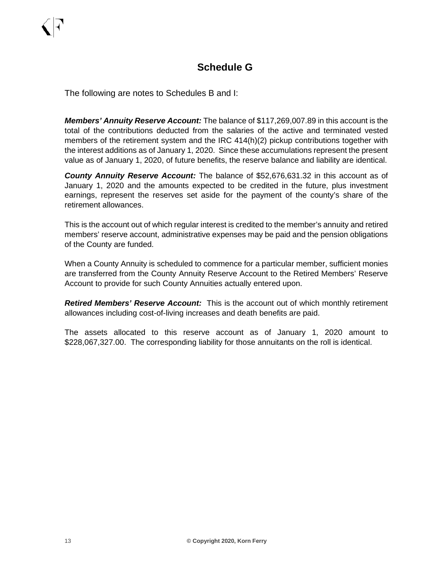## **Schedule G**

The following are notes to Schedules B and I:

*Members' Annuity Reserve Account:* The balance of \$117,269,007.89 in this account is the total of the contributions deducted from the salaries of the active and terminated vested members of the retirement system and the IRC 414(h)(2) pickup contributions together with the interest additions as of January 1, 2020. Since these accumulations represent the present value as of January 1, 2020, of future benefits, the reserve balance and liability are identical.

*County Annuity Reserve Account:* The balance of \$52,676,631.32 in this account as of January 1, 2020 and the amounts expected to be credited in the future, plus investment earnings, represent the reserves set aside for the payment of the county's share of the retirement allowances.

This is the account out of which regular interest is credited to the member's annuity and retired members' reserve account, administrative expenses may be paid and the pension obligations of the County are funded.

When a County Annuity is scheduled to commence for a particular member, sufficient monies are transferred from the County Annuity Reserve Account to the Retired Members' Reserve Account to provide for such County Annuities actually entered upon.

*Retired Members' Reserve Account:*This is the account out of which monthly retirement allowances including cost-of-living increases and death benefits are paid.

The assets allocated to this reserve account as of January 1, 2020 amount to \$228,067,327.00. The corresponding liability for those annuitants on the roll is identical.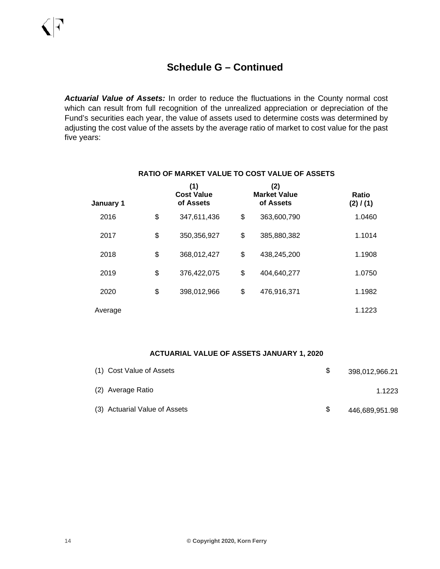*Actuarial Value of Assets:* In order to reduce the fluctuations in the County normal cost which can result from full recognition of the unrealized appreciation or depreciation of the Fund's securities each year, the value of assets used to determine costs was determined by adjusting the cost value of the assets by the average ratio of market to cost value for the past five years:

| January 1 | (1)<br><b>Cost Value</b><br>of Assets | (2)<br><b>Market Value</b><br>of Assets | Ratio<br>(2) / (1) |
|-----------|---------------------------------------|-----------------------------------------|--------------------|
| 2016      | \$<br>347,611,436                     | \$<br>363,600,790                       | 1.0460             |
| 2017      | \$<br>350,356,927                     | \$<br>385,880,382                       | 1.1014             |
| 2018      | \$<br>368,012,427                     | \$<br>438,245,200                       | 1.1908             |
| 2019      | \$<br>376,422,075                     | \$<br>404,640,277                       | 1.0750             |
| 2020      | \$<br>398,012,966                     | \$<br>476,916,371                       | 1.1982             |
| Average   |                                       |                                         | 1.1223             |

#### **RATIO OF MARKET VALUE TO COST VALUE OF ASSETS**

#### **ACTUARIAL VALUE OF ASSETS JANUARY 1, 2020**

| (1) Cost Value of Assets      |     | 398,012,966.21 |
|-------------------------------|-----|----------------|
| (2) Average Ratio             |     | 1.1223         |
| (3) Actuarial Value of Assets | \$. | 446,689,951.98 |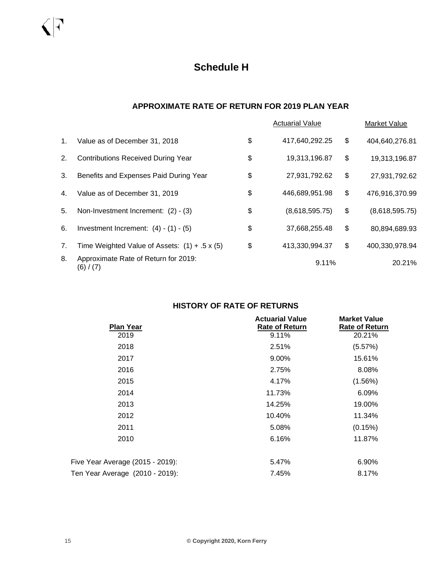#### **APPROXIMATE RATE OF RETURN FOR 2019 PLAN YEAR**

|             |                                                      | <b>Actuarial Value</b> | Market Value         |
|-------------|------------------------------------------------------|------------------------|----------------------|
| $1_{\cdot}$ | Value as of December 31, 2018                        | \$<br>417,640,292.25   | \$<br>404,640,276.81 |
| 2.          | <b>Contributions Received During Year</b>            | \$<br>19,313,196.87    | \$<br>19,313,196.87  |
| 3.          | Benefits and Expenses Paid During Year               | \$<br>27,931,792.62    | \$<br>27,931,792.62  |
| 4.          | Value as of December 31, 2019                        | \$<br>446,689,951.98   | \$<br>476,916,370.99 |
| 5.          | Non-Investment Increment: (2) - (3)                  | \$<br>(8,618,595.75)   | \$<br>(8,618,595.75) |
| 6.          | Investment Increment: $(4) - (1) - (5)$              | \$<br>37,668,255.48    | \$<br>80,894,689.93  |
| 7.          | Time Weighted Value of Assets: $(1) + .5 \times (5)$ | \$<br>413,330,994.37   | \$<br>400,330,978.94 |
| 8.          | Approximate Rate of Return for 2019:<br>(6) / (7)    | 9.11%                  | 20.21%               |

## **HISTORY OF RATE OF RETURNS**

| <b>Plan Year</b>                 | <b>Actuarial Value</b><br><b>Rate of Return</b> | <b>Market Value</b><br><b>Rate of Return</b> |
|----------------------------------|-------------------------------------------------|----------------------------------------------|
| 2019                             | 9.11%                                           | 20.21%                                       |
| 2018                             | 2.51%                                           | (5.57%)                                      |
| 2017                             | 9.00%                                           | 15.61%                                       |
| 2016                             | 2.75%                                           | 8.08%                                        |
| 2015                             | 4.17%                                           | $(1.56\%)$                                   |
| 2014                             | 11.73%                                          | 6.09%                                        |
| 2013                             | 14.25%                                          | 19.00%                                       |
| 2012                             | 10.40%                                          | 11.34%                                       |
| 2011                             | 5.08%                                           | (0.15%)                                      |
| 2010                             | 6.16%                                           | 11.87%                                       |
| Five Year Average (2015 - 2019): | 5.47%                                           | 6.90%                                        |
| Ten Year Average (2010 - 2019):  | 7.45%                                           | 8.17%                                        |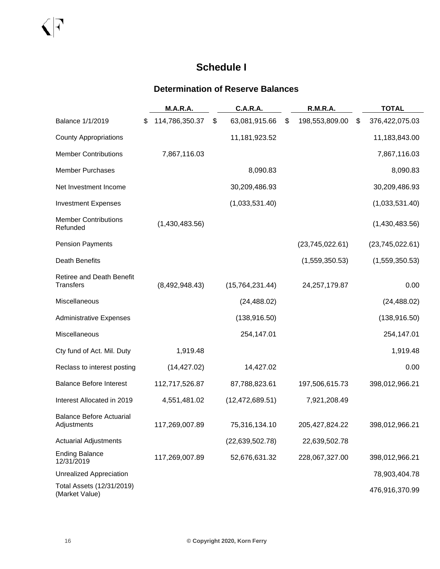## **Schedule I**

## **Determination of Reserve Balances**

|                                                      | M.A.R.A.             | <b>C.A.R.A.</b>     | R.M.R.A.             | <b>TOTAL</b>         |
|------------------------------------------------------|----------------------|---------------------|----------------------|----------------------|
| Balance 1/1/2019                                     | \$<br>114,786,350.37 | \$<br>63,081,915.66 | \$<br>198,553,809.00 | \$<br>376,422,075.03 |
| <b>County Appropriations</b>                         |                      | 11,181,923.52       |                      | 11,183,843.00        |
| <b>Member Contributions</b>                          | 7,867,116.03         |                     |                      | 7,867,116.03         |
| <b>Member Purchases</b>                              |                      | 8,090.83            |                      | 8,090.83             |
| Net Investment Income                                |                      | 30,209,486.93       |                      | 30,209,486.93        |
| <b>Investment Expenses</b>                           |                      | (1,033,531.40)      |                      | (1,033,531.40)       |
| <b>Member Contributions</b><br>Refunded              | (1,430,483.56)       |                     |                      | (1,430,483.56)       |
| <b>Pension Payments</b>                              |                      |                     | (23,745,022.61)      | (23,745,022.61)      |
| <b>Death Benefits</b>                                |                      |                     | (1,559,350.53)       | (1,559,350.53)       |
| <b>Retiree and Death Benefit</b><br><b>Transfers</b> | (8,492,948.43)       | (15,764,231.44)     | 24,257,179.87        | 0.00                 |
| Miscellaneous                                        |                      | (24, 488.02)        |                      | (24, 488.02)         |
| <b>Administrative Expenses</b>                       |                      | (138, 916.50)       |                      | (138, 916.50)        |
| Miscellaneous                                        |                      | 254,147.01          |                      | 254,147.01           |
| Cty fund of Act. Mil. Duty                           | 1,919.48             |                     |                      | 1,919.48             |
| Reclass to interest posting                          | (14, 427.02)         | 14,427.02           |                      | 0.00                 |
| <b>Balance Before Interest</b>                       | 112,717,526.87       | 87,788,823.61       | 197,506,615.73       | 398,012,966.21       |
| Interest Allocated in 2019                           | 4,551,481.02         | (12, 472, 689.51)   | 7,921,208.49         |                      |
| <b>Balance Before Actuarial</b><br>Adjustments       | 117,269,007.89       | 75,316,134.10       | 205,427,824.22       | 398,012,966.21       |
| <b>Actuarial Adjustments</b>                         |                      | (22, 639, 502.78)   | 22,639,502.78        |                      |
| <b>Ending Balance</b><br>12/31/2019                  | 117,269,007.89       | 52,676,631.32       | 228,067,327.00       | 398,012,966.21       |
| <b>Unrealized Appreciation</b>                       |                      |                     |                      | 78,903,404.78        |
| Total Assets (12/31/2019)<br>(Market Value)          |                      |                     |                      | 476,916,370.99       |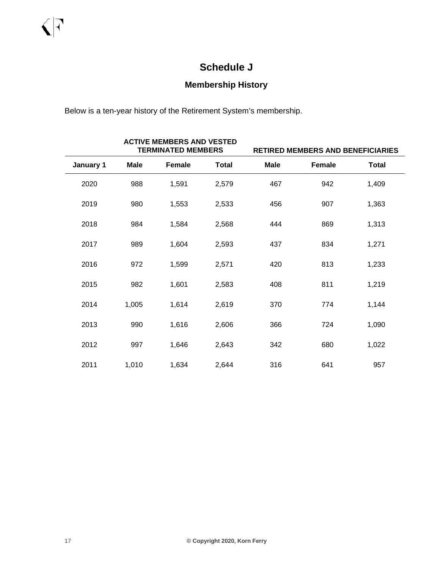## **Schedule J**

## **Membership History**

Below is a ten-year history of the Retirement System's membership.

|           |             | <b>ACTIVE MEMBERS AND VESTED</b><br><b>TERMINATED MEMBERS</b> |              | RETIRED MEMBERS AND BENEFICIARIES |        |              |  |  |
|-----------|-------------|---------------------------------------------------------------|--------------|-----------------------------------|--------|--------------|--|--|
| January 1 | <b>Male</b> | Female                                                        | <b>Total</b> | <b>Male</b>                       | Female | <b>Total</b> |  |  |
| 2020      | 988         | 1,591                                                         | 2,579        | 467                               | 942    | 1,409        |  |  |
| 2019      | 980         | 1,553                                                         | 2,533        | 456                               | 907    | 1,363        |  |  |
| 2018      | 984         | 1,584                                                         | 2,568        | 444                               | 869    | 1,313        |  |  |
| 2017      | 989         | 1,604                                                         | 2,593        | 437                               | 834    | 1,271        |  |  |
| 2016      | 972         | 1,599                                                         | 2,571        | 420                               | 813    | 1,233        |  |  |
| 2015      | 982         | 1,601                                                         | 2,583        | 408                               | 811    | 1,219        |  |  |
| 2014      | 1,005       | 1,614                                                         | 2,619        | 370                               | 774    | 1,144        |  |  |
| 2013      | 990         | 1,616                                                         | 2,606        | 366                               | 724    | 1,090        |  |  |
| 2012      | 997         | 1,646                                                         | 2,643        | 342                               | 680    | 1,022        |  |  |
| 2011      | 1,010       | 1,634                                                         | 2,644        | 316                               | 641    | 957          |  |  |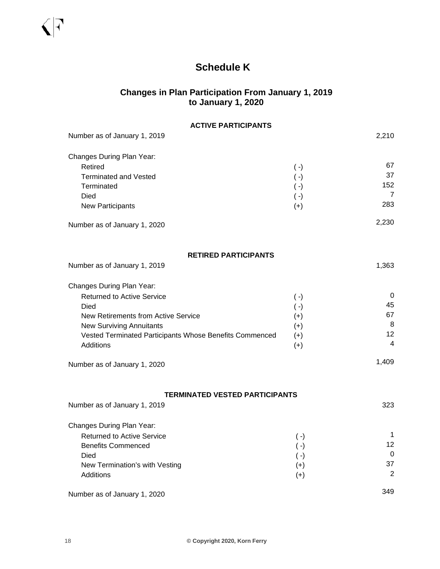## **Schedule K**

## **Changes in Plan Participation From January 1, 2019 to January 1, 2020**

| <b>ACTIVE PARTICIPANTS</b>                              |           |                |
|---------------------------------------------------------|-----------|----------------|
| Number as of January 1, 2019                            |           | 2,210          |
| Changes During Plan Year:                               |           |                |
| Retired                                                 | $(\cdot)$ | 67             |
| <b>Terminated and Vested</b>                            | $(\cdot)$ | 37             |
| Terminated                                              | $(\cdot)$ | 152            |
| Died                                                    | $(\cdot)$ | $\overline{7}$ |
| <b>New Participants</b>                                 | $(+)$     | 283            |
| Number as of January 1, 2020                            |           | 2,230          |
| <b>RETIRED PARTICIPANTS</b>                             |           |                |
| Number as of January 1, 2019                            |           | 1,363          |
| Changes During Plan Year:                               |           |                |
| <b>Returned to Active Service</b>                       | $(\cdot)$ | 0              |
| Died                                                    | $(\cdot)$ | 45             |
| New Retirements from Active Service                     | $^{(+)}$  | 67             |
| <b>New Surviving Annuitants</b>                         | $(+)$     | 8              |
| Vested Terminated Participants Whose Benefits Commenced | $(+)$     | 12<br>4        |
| Additions                                               | $(+)$     |                |
| Number as of January 1, 2020                            |           | 1,409          |
|                                                         |           |                |
| <b>TERMINATED VESTED PARTICIPANTS</b>                   |           |                |
| Number as of January 1, 2019                            |           | 323            |
| Changes During Plan Year:                               |           |                |
| <b>Returned to Active Service</b>                       | $(\cdot)$ | 1              |
| <b>Benefits Commenced</b>                               | $(\cdot)$ | 12             |
| Died                                                    | $(\cdot)$ | 0              |
| New Termination's with Vesting                          | $(+)$     | 37<br>2        |
| Additions                                               | $(+)$     |                |
| Number as of January 1, 2020                            |           | 349            |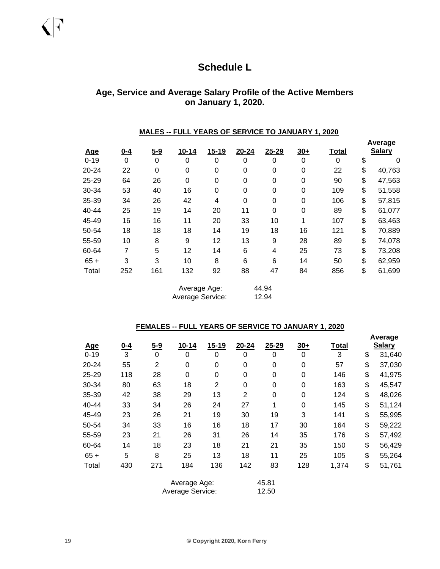## **Schedule L**

### **Age, Service and Average Salary Profile of the Active Members on January 1, 2020.**

#### **MALES -- FULL YEARS OF SERVICE TO JANUARY 1, 2020**

| <u>Age</u> | $0 - 4$     | $5 - 9$ | $10 - 14$        | $15 - 19$ | $20 - 24$   | $25 - 29$ | $30+$            | Total | Average<br><b>Salary</b> |
|------------|-------------|---------|------------------|-----------|-------------|-----------|------------------|-------|--------------------------|
| $0 - 19$   | $\mathbf 0$ | 0       | 0                | 0         | 0           | 0         | $\mathbf 0$      | 0     | \$<br>0                  |
| 20-24      | 22          | 0       | $\mathbf 0$      | 0         | $\mathbf 0$ | 0         | $\boldsymbol{0}$ | 22    | \$<br>40,763             |
| $25 - 29$  | 64          | 26      | 0                | 0         | $\mathbf 0$ | 0         | 0                | 90    | \$<br>47,563             |
| 30-34      | 53          | 40      | 16               | 0         | 0           | 0         | 0                | 109   | \$<br>51,558             |
| 35-39      | 34          | 26      | 42               | 4         | $\mathbf 0$ | 0         | $\mathbf 0$      | 106   | \$<br>57,815             |
| 40-44      | 25          | 19      | 14               | 20        | 11          | 0         | 0                | 89    | \$<br>61,077             |
| 45-49      | 16          | 16      | 11               | 20        | 33          | 10        | 1                | 107   | \$<br>63,463             |
| 50-54      | 18          | 18      | 18               | 14        | 19          | 18        | 16               | 121   | \$<br>70,889             |
| 55-59      | 10          | 8       | 9                | 12        | 13          | 9         | 28               | 89    | \$<br>74,078             |
| 60-64      | 7           | 5       | 12               | 14        | 6           | 4         | 25               | 73    | \$<br>73,208             |
| $65 +$     | 3           | 3       | 10               | 8         | 6           | 6         | 14               | 50    | \$<br>62,959             |
| Total      | 252         | 161     | 132              | 92        | 88          | 47        | 84               | 856   | \$<br>61,699             |
|            |             |         | Average Age:     |           |             | 44.94     |                  |       |                          |
|            |             |         | Average Service: |           |             | 12.94     |                  |       |                          |

#### **FEMALES -- FULL YEARS OF SERVICE TO JANUARY 1, 2020**

| <u>Age</u> | $0 - 4$ | $5 - 9$        | $10 - 14$        | $15 - 19$        | 20-24          | $25 - 29$    | $30+$ | <b>Total</b> | Average<br><b>Salary</b> |
|------------|---------|----------------|------------------|------------------|----------------|--------------|-------|--------------|--------------------------|
| $0 - 19$   | 3       | 0              | 0                | 0                | $\mathbf 0$    | 0            | 0     | 3            | \$<br>31,640             |
| 20-24      | 55      | $\overline{2}$ | $\mathbf 0$      | 0                | $\mathbf 0$    | 0            | 0     | 57           | \$<br>37,030             |
| 25-29      | 118     | 28             | $\mathbf 0$      | $\boldsymbol{0}$ | $\mathbf 0$    | 0            | 0     | 146          | \$<br>41,975             |
| 30-34      | 80      | 63             | 18               | $\overline{2}$   | $\mathbf 0$    | 0            | 0     | 163          | \$<br>45,547             |
| 35-39      | 42      | 38             | 29               | 13               | $\overline{2}$ | $\Omega$     | 0     | 124          | \$<br>48,026             |
| 40-44      | 33      | 34             | 26               | 24               | 27             | $\mathbf{1}$ | 0     | 145          | \$<br>51,124             |
| 45-49      | 23      | 26             | 21               | 19               | 30             | 19           | 3     | 141          | \$<br>55,995             |
| 50-54      | 34      | 33             | 16               | 16               | 18             | 17           | 30    | 164          | \$<br>59,222             |
| 55-59      | 23      | 21             | 26               | 31               | 26             | 14           | 35    | 176          | \$<br>57,492             |
| 60-64      | 14      | 18             | 23               | 18               | 21             | 21           | 35    | 150          | \$<br>56,429             |
| $65 +$     | 5       | 8              | 25               | 13               | 18             | 11           | 25    | 105          | \$<br>55,264             |
| Total      | 430     | 271            | 184              | 136              | 142            | 83           | 128   | 1,374        | \$<br>51,761             |
|            |         |                | Average Age:     |                  |                | 45.81        |       |              |                          |
|            |         |                | Average Service: |                  |                | 12.50        |       |              |                          |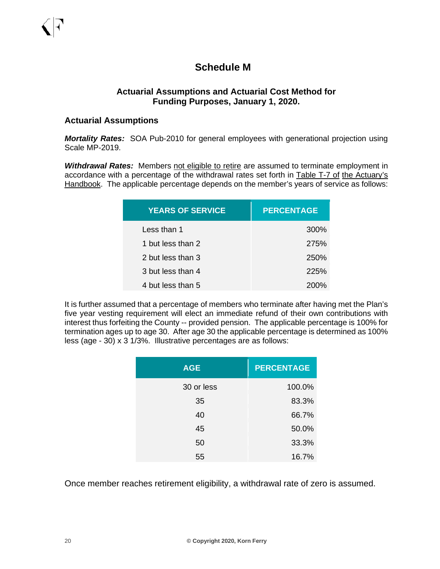## **Schedule M**

### **Actuarial Assumptions and Actuarial Cost Method for Funding Purposes, January 1, 2020.**

#### **Actuarial Assumptions**

*Mortality Rates:* SOA Pub-2010 for general employees with generational projection using Scale MP-2019.

**Withdrawal Rates:** Members not eligible to retire are assumed to terminate employment in accordance with a percentage of the withdrawal rates set forth in Table T-7 of the Actuary's Handbook. The applicable percentage depends on the member's years of service as follows:

| <b>YEARS OF SERVICE</b> | <b>PERCENTAGE</b> |
|-------------------------|-------------------|
| Less than 1             | 300%              |
| 1 but less than 2       | 275%              |
| 2 but less than 3       | 250%              |
| 3 but less than 4       | <b>225%</b>       |
| 4 but less than 5       | 200%              |

It is further assumed that a percentage of members who terminate after having met the Plan's five year vesting requirement will elect an immediate refund of their own contributions with interest thus forfeiting the County -- provided pension. The applicable percentage is 100% for termination ages up to age 30. After age 30 the applicable percentage is determined as 100% less (age - 30) x 3 1/3%. Illustrative percentages are as follows:

| <b>AGE</b> | <b>PERCENTAGE</b> |
|------------|-------------------|
| 30 or less | 100.0%            |
| 35         | 83.3%             |
| 40         | 66.7%             |
| 45         | 50.0%             |
| 50         | 33.3%             |
| 55         | 16.7%             |

Once member reaches retirement eligibility, a withdrawal rate of zero is assumed.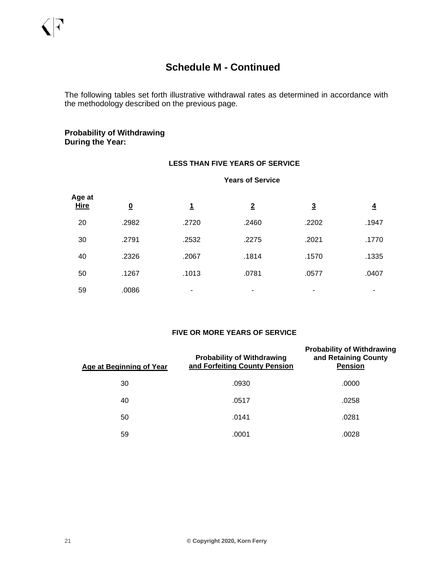The following tables set forth illustrative withdrawal rates as determined in accordance with the methodology described on the previous page.

#### **Probability of Withdrawing During the Year:**

#### **LESS THAN FIVE YEARS OF SERVICE**

#### **Years of Service**

| Age at<br>Hire | $\overline{\mathbf{0}}$ | <u>1</u> | $\overline{2}$ | $\overline{3}$ | $\overline{4}$ |
|----------------|-------------------------|----------|----------------|----------------|----------------|
| 20             | .2982                   | .2720    | .2460          | .2202          | .1947          |
| 30             | .2791                   | .2532    | .2275          | .2021          | .1770          |
| 40             | .2326                   | .2067    | .1814          | .1570          | .1335          |
| 50             | .1267                   | .1013    | .0781          | .0577          | .0407          |
| 59             | .0086                   | ۰        | $\blacksquare$ | -              |                |

#### **FIVE OR MORE YEARS OF SERVICE**

| Age at Beginning of Year | <b>Probability of Withdrawing</b><br>and Forfeiting County Pension | <b>Probability of Withdrawing</b><br>and Retaining County<br><b>Pension</b> |  |  |
|--------------------------|--------------------------------------------------------------------|-----------------------------------------------------------------------------|--|--|
| 30                       | .0930                                                              | .0000                                                                       |  |  |
| 40                       | .0517                                                              | .0258                                                                       |  |  |
| 50                       | .0141                                                              | .0281                                                                       |  |  |
| 59                       | .0001                                                              | .0028                                                                       |  |  |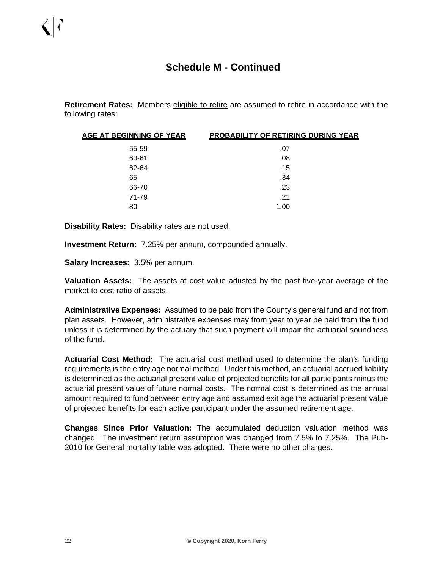**Retirement Rates:** Members eligible to retire are assumed to retire in accordance with the following rates:

| AGE AT BEGINNING OF YEAR | <b>PROBABILITY OF RETIRING DURING YEAR</b> |
|--------------------------|--------------------------------------------|
| 55-59                    | .07                                        |
| 60-61                    | .08                                        |
| 62-64                    | .15                                        |
| 65                       | .34                                        |
| 66-70                    | .23                                        |
| 71-79                    | .21                                        |
| 80                       | 1.00                                       |

**Disability Rates:** Disability rates are not used.

**Investment Return:** 7.25% per annum, compounded annually.

**Salary Increases:** 3.5% per annum.

**Valuation Assets:** The assets at cost value adusted by the past five-year average of the market to cost ratio of assets.

**Administrative Expenses:** Assumed to be paid from the County's general fund and not from plan assets. However, administrative expenses may from year to year be paid from the fund unless it is determined by the actuary that such payment will impair the actuarial soundness of the fund.

**Actuarial Cost Method:** The actuarial cost method used to determine the plan's funding requirements is the entry age normal method. Under this method, an actuarial accrued liability is determined as the actuarial present value of projected benefits for all participants minus the actuarial present value of future normal costs. The normal cost is determined as the annual amount required to fund between entry age and assumed exit age the actuarial present value of projected benefits for each active participant under the assumed retirement age.

**Changes Since Prior Valuation:** The accumulated deduction valuation method was changed. The investment return assumption was changed from 7.5% to 7.25%. The Pub-2010 for General mortality table was adopted. There were no other charges.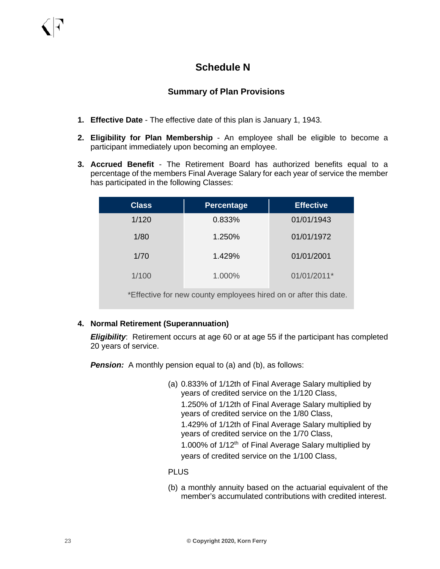## **Schedule N**

## **Summary of Plan Provisions**

- **1. Effective Date** The effective date of this plan is January 1, 1943.
- **2. Eligibility for Plan Membership** An employee shall be eligible to become a participant immediately upon becoming an employee.
- **3. Accrued Benefit** The Retirement Board has authorized benefits equal to a percentage of the members Final Average Salary for each year of service the member has participated in the following Classes:

| <b>Class</b>                                                     | <b>Percentage</b> | <b>Effective</b> |  |  |  |  |  |
|------------------------------------------------------------------|-------------------|------------------|--|--|--|--|--|
| 1/120                                                            | 0.833%            | 01/01/1943       |  |  |  |  |  |
| 1/80                                                             | 1.250%            | 01/01/1972       |  |  |  |  |  |
| 1/70                                                             | 1.429%            | 01/01/2001       |  |  |  |  |  |
| 1/100                                                            | 1.000%            | 01/01/2011*      |  |  |  |  |  |
| *Effective for new county employees hired on or after this date. |                   |                  |  |  |  |  |  |

#### **4. Normal Retirement (Superannuation)**

*Eligibility*: Retirement occurs at age 60 or at age 55 if the participant has completed 20 years of service.

**Pension:** A monthly pension equal to (a) and (b), as follows:

(a) 0.833% of 1/12th of Final Average Salary multiplied by years of credited service on the 1/120 Class, 1.250% of 1/12th of Final Average Salary multiplied by years of credited service on the 1/80 Class, 1.429% of 1/12th of Final Average Salary multiplied by years of credited service on the 1/70 Class, 1.000% of 1/12<sup>th</sup> of Final Average Salary multiplied by years of credited service on the 1/100 Class,

#### PLUS

(b) a monthly annuity based on the actuarial equivalent of the member's accumulated contributions with credited interest.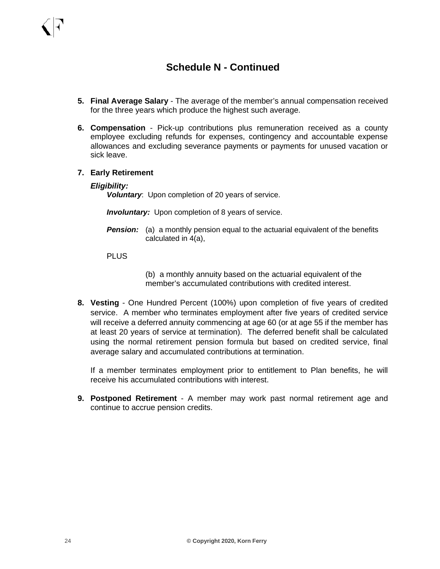- **5. Final Average Salary**  The average of the member's annual compensation received for the three years which produce the highest such average.
- **6. Compensation** Pick-up contributions plus remuneration received as a county employee excluding refunds for expenses, contingency and accountable expense allowances and excluding severance payments or payments for unused vacation or sick leave.
- **7. Early Retirement**

#### *Eligibility:*

*Voluntary*: Upon completion of 20 years of service.

*Involuntary:* Upon completion of 8 years of service.

**Pension:** (a) a monthly pension equal to the actuarial equivalent of the benefits calculated in 4(a),

#### PLUS

(b) a monthly annuity based on the actuarial equivalent of the member's accumulated contributions with credited interest.

**8. Vesting** - One Hundred Percent (100%) upon completion of five years of credited service. A member who terminates employment after five years of credited service will receive a deferred annuity commencing at age 60 (or at age 55 if the member has at least 20 years of service at termination). The deferred benefit shall be calculated using the normal retirement pension formula but based on credited service, final average salary and accumulated contributions at termination.

If a member terminates employment prior to entitlement to Plan benefits, he will receive his accumulated contributions with interest.

**9. Postponed Retirement** - A member may work past normal retirement age and continue to accrue pension credits.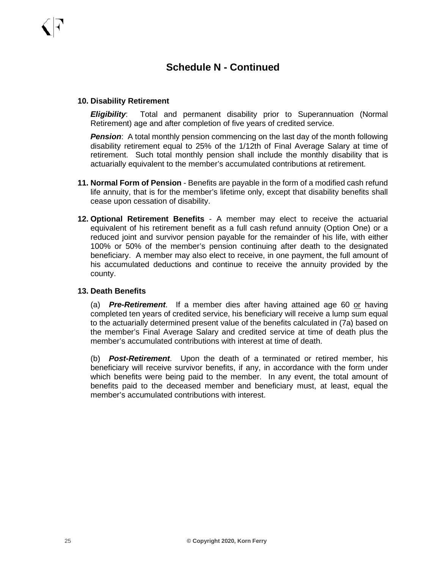#### **10. Disability Retirement**

*Eligibility*: Total and permanent disability prior to Superannuation (Normal Retirement) age and after completion of five years of credited service.

**Pension:** A total monthly pension commencing on the last day of the month following disability retirement equal to 25% of the 1/12th of Final Average Salary at time of retirement. Such total monthly pension shall include the monthly disability that is actuarially equivalent to the member's accumulated contributions at retirement.

- **11. Normal Form of Pension** Benefits are payable in the form of a modified cash refund life annuity, that is for the member's lifetime only, except that disability benefits shall cease upon cessation of disability.
- **12. Optional Retirement Benefits** A member may elect to receive the actuarial equivalent of his retirement benefit as a full cash refund annuity (Option One) or a reduced joint and survivor pension payable for the remainder of his life, with either 100% or 50% of the member's pension continuing after death to the designated beneficiary. A member may also elect to receive, in one payment, the full amount of his accumulated deductions and continue to receive the annuity provided by the county.

#### **13. Death Benefits**

(a) *Pre-Retirement*. If a member dies after having attained age 60 or having completed ten years of credited service, his beneficiary will receive a lump sum equal to the actuarially determined present value of the benefits calculated in (7a) based on the member's Final Average Salary and credited service at time of death plus the member's accumulated contributions with interest at time of death.

(b) *Post-Retirement*. Upon the death of a terminated or retired member, his beneficiary will receive survivor benefits, if any, in accordance with the form under which benefits were being paid to the member. In any event, the total amount of benefits paid to the deceased member and beneficiary must, at least, equal the member's accumulated contributions with interest.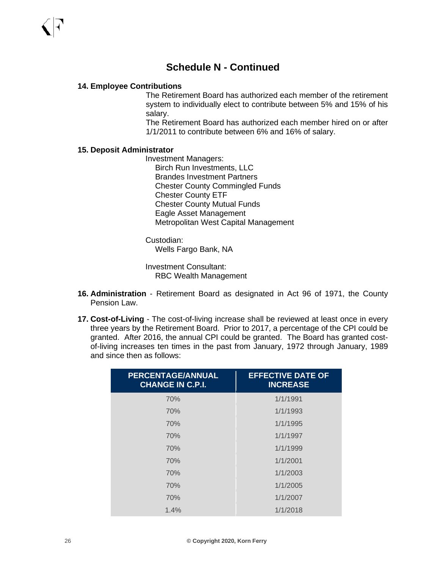#### **14. Employee Contributions**

The Retirement Board has authorized each member of the retirement system to individually elect to contribute between 5% and 15% of his salary.

The Retirement Board has authorized each member hired on or after 1/1/2011 to contribute between 6% and 16% of salary.

#### **15. Deposit Administrator**

Investment Managers: Birch Run Investments, LLC Brandes Investment Partners Chester County Commingled Funds Chester County ETF Chester County Mutual Funds Eagle Asset Management Metropolitan West Capital Management

Custodian: Wells Fargo Bank, NA

Investment Consultant: RBC Wealth Management

- **16. Administration** Retirement Board as designated in Act 96 of 1971, the County Pension Law.
- **17. Cost-of-Living** The cost-of-living increase shall be reviewed at least once in every three years by the Retirement Board. Prior to 2017, a percentage of the CPI could be granted. After 2016, the annual CPI could be granted. The Board has granted costof-living increases ten times in the past from January, 1972 through January, 1989 and since then as follows:

| <b>PERCENTAGE/ANNUAL</b><br><b>CHANGE IN C.P.I.</b> | <b>EFFECTIVE DATE OF</b><br><b>INCREASE</b> |
|-----------------------------------------------------|---------------------------------------------|
| 70%                                                 | 1/1/1991                                    |
| 70%                                                 | 1/1/1993                                    |
| 70%                                                 | 1/1/1995                                    |
| 70%                                                 | 1/1/1997                                    |
| 70%                                                 | 1/1/1999                                    |
| 70%                                                 | 1/1/2001                                    |
| 70%                                                 | 1/1/2003                                    |
| 70%                                                 | 1/1/2005                                    |
| 70%                                                 | 1/1/2007                                    |
| 1.4%                                                | 1/1/2018                                    |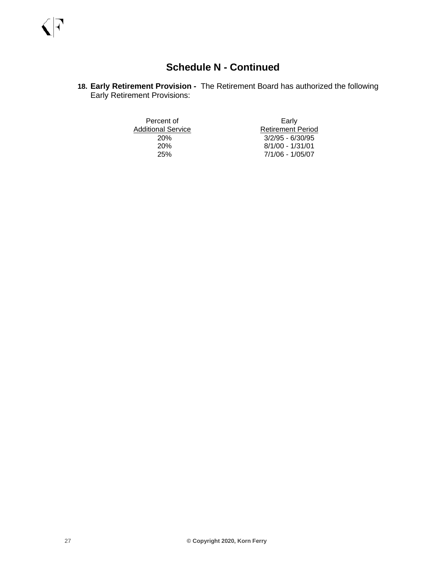**18. Early Retirement Provision -** The Retirement Board has authorized the following Early Retirement Provisions:

Additional Service<br>20%

Percent of Early<br>
Subsetitional Service<br>
Retirement Period 20% 3/2/95 - 6/30/95 20% 8/1/00 - 1/31/01 25% 7/1/06 - 1/05/07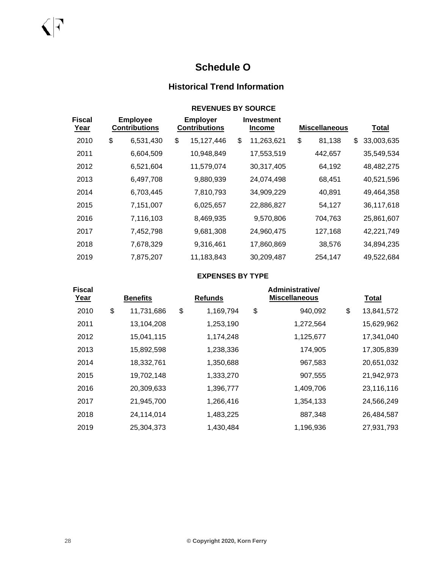## **Schedule O**

## **Historical Trend Information**

|                              |                                         | <b>REVENUES BY SOURCE</b>               |                                    |                      |                  |
|------------------------------|-----------------------------------------|-----------------------------------------|------------------------------------|----------------------|------------------|
| <b>Fiscal</b><br><u>Year</u> | <b>Employee</b><br><b>Contributions</b> | <b>Employer</b><br><b>Contributions</b> | <b>Investment</b><br><u>Income</u> | <b>Miscellaneous</b> | <u>Total</u>     |
| 2010                         | \$<br>6,531,430                         | \$<br>15,127,446                        | \$<br>11,263,621                   | \$<br>81,138         | \$<br>33,003,635 |
| 2011                         | 6,604,509                               | 10,948,849                              | 17,553,519                         | 442,657              | 35,549,534       |
| 2012                         | 6,521,604                               | 11,579,074                              | 30,317,405                         | 64,192               | 48,482,275       |
| 2013                         | 6,497,708                               | 9,880,939                               | 24,074,498                         | 68,451               | 40,521,596       |
| 2014                         | 6,703,445                               | 7,810,793                               | 34,909,229                         | 40,891               | 49,464,358       |
| 2015                         | 7,151,007                               | 6,025,657                               | 22,886,827                         | 54,127               | 36,117,618       |
| 2016                         | 7,116,103                               | 8,469,935                               | 9,570,806                          | 704,763              | 25,861,607       |
| 2017                         | 7,452,798                               | 9,681,308                               | 24,960,475                         | 127,168              | 42,221,749       |
| 2018                         | 7,678,329                               | 9,316,461                               | 17,860,869                         | 38,576               | 34,894,235       |
| 2019                         | 7,875,207                               | 11,183,843                              | 30,209,487                         | 254,147              | 49,522,684       |

#### **EXPENSES BY TYPE**

| <b>Fiscal</b> |                 | Administrative/ |    |                |    |                      |                  |
|---------------|-----------------|-----------------|----|----------------|----|----------------------|------------------|
| Year          | <b>Benefits</b> |                 |    | <b>Refunds</b> |    | <b>Miscellaneous</b> | <b>Total</b>     |
| 2010          | \$              | 11,731,686      | \$ | 1,169,794      | \$ | 940,092              | \$<br>13,841,572 |
| 2011          |                 | 13,104,208      |    | 1,253,190      |    | 1,272,564            | 15,629,962       |
| 2012          |                 | 15,041,115      |    | 1,174,248      |    | 1,125,677            | 17,341,040       |
| 2013          |                 | 15,892,598      |    | 1,238,336      |    | 174,905              | 17,305,839       |
| 2014          |                 | 18,332,761      |    | 1,350,688      |    | 967,583              | 20,651,032       |
| 2015          |                 | 19,702,148      |    | 1,333,270      |    | 907,555              | 21,942,973       |
| 2016          |                 | 20,309,633      |    | 1,396,777      |    | 1,409,706            | 23,116,116       |
| 2017          |                 | 21,945,700      |    | 1,266,416      |    | 1,354,133            | 24,566,249       |
| 2018          |                 | 24,114,014      |    | 1,483,225      |    | 887,348              | 26,484,587       |
| 2019          |                 | 25,304,373      |    | 1,430,484      |    | 1,196,936            | 27,931,793       |

 $\sqrt{|\cdot|}$